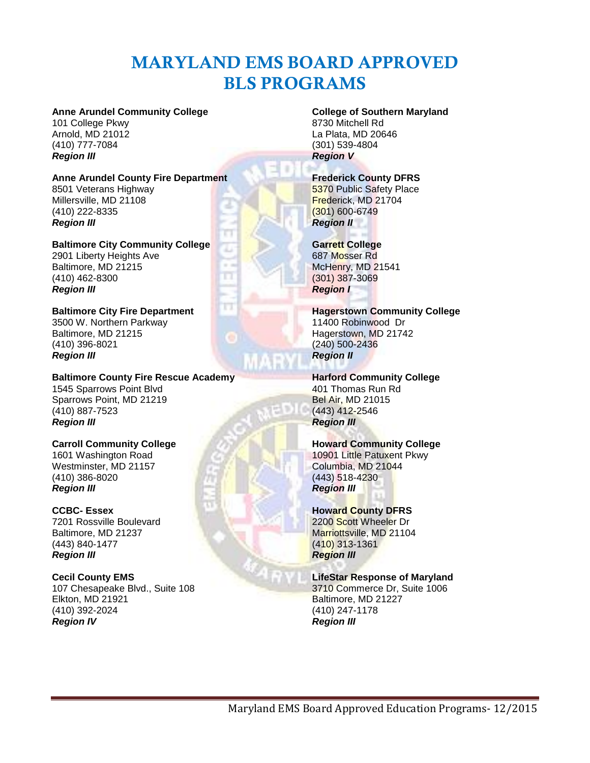# **MARYLAND EMS BOARD APPROVED BLS PROGRAMS**

### **Anne Arundel Community College**

101 College Pkwy Arnold, MD 21012 (410) 777-7084 *Region III*

# **Anne Arundel County Fire Department**

8501 Veterans Highway Millersville, MD 21108 (410) 222-8335 *Region III*

**Baltimore City Community College** 2901 Liberty Heights Ave Baltimore, MD 21215 (410) 462-8300 *Region III*

Π

**Baltimore City Fire Department** 3500 W. Northern Parkway Baltimore, MD 21215 (410) 396-8021 *Region III*

#### **Baltimore County Fire Rescue Academy** 1545 Sparrows Point Blvd Sparrows Point, MD 21219 (410) 887-7523 *Region III*

**Carroll Community College** 1601 Washington Road Westminster, MD 21157 (410) 386-8020 *Region III*

#### **CCBC- Essex**

7201 Rossville Boulevard Baltimore, MD 21237 (443) 840-1477 *Region III*

**Cecil County EMS** 107 Chesapeake Blvd., Suite 108 Elkton, MD 21921 (410) 392-2024 *Region IV*

# **College of Southern Maryland**

8730 Mitchell Rd La Plata, MD 20646 (301) 539-4804 *Region V*

## **Frederick County DFRS**

**5370 Public Safety Place** Frederick, MD 21704 (301) 600-6749 *Region II*

## **Garrett College**

687 Mosser Rd McHenry, MD 21541 (301) 387-3069 *Region I*

**Hagerstown Community College** 11400 Robinwood Dr Hagerstown, MD 21742 (240) 500-2436 *Region II*

# **Harford Community College**

401 Thomas Run Rd Bel Air, MD 21015 (443) 412-2546 *Region III*

#### **Howard Community College** 10901 Little Patuxent Pkwy

Columbia, MD 21044 (443) 518-4230 *Region III*

# **Howard County DFRS**

2200 Scott Wheeler Dr Marriottsville, MD 21104 (410) 313-1361 *Region III*

# **LifeStar Response of Maryland**

3710 Commerce Dr, Suite 1006 Baltimore, MD 21227 (410) 247-1178 *Region III*